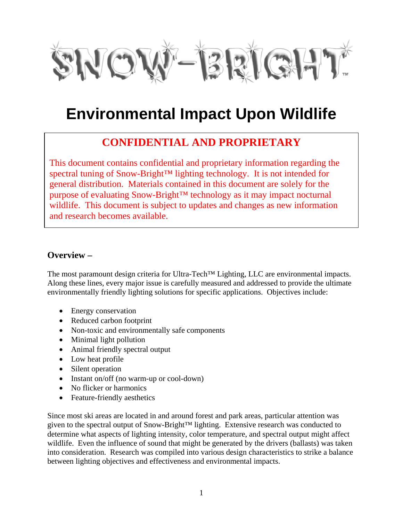

# **Environmental Impact Upon Wildlife**

# **CONFIDENTIAL AND PROPRIETARY**

This document contains confidential and proprietary information regarding the spectral tuning of Snow-Bright™ lighting technology. It is not intended for general distribution. Materials contained in this document are solely for the purpose of evaluating Snow-Bright™ technology as it may impact nocturnal wildlife. This document is subject to updates and changes as new information and research becomes available.

## **Overview –**

The most paramount design criteria for Ultra-Tech<sup>™</sup> Lighting, LLC are environmental impacts. Along these lines, every major issue is carefully measured and addressed to provide the ultimate environmentally friendly lighting solutions for specific applications. Objectives include:

- Energy conservation
- Reduced carbon footprint
- Non-toxic and environmentally safe components
- Minimal light pollution
- Animal friendly spectral output
- Low heat profile
- Silent operation
- Instant on/off (no warm-up or cool-down)
- No flicker or harmonics
- Feature-friendly aesthetics

Since most ski areas are located in and around forest and park areas, particular attention was given to the spectral output of Snow-Bright™ lighting. Extensive research was conducted to determine what aspects of lighting intensity, color temperature, and spectral output might affect wildlife. Even the influence of sound that might be generated by the drivers (ballasts) was taken into consideration. Research was compiled into various design characteristics to strike a balance between lighting objectives and effectiveness and environmental impacts.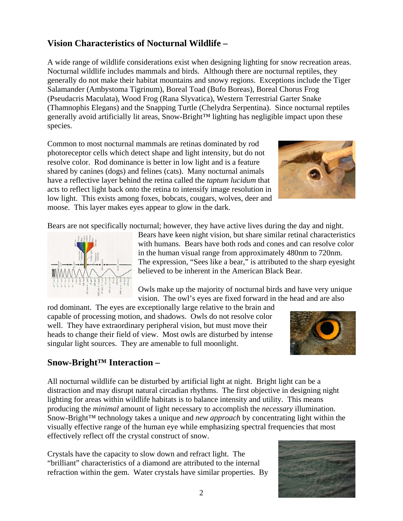# **Vision Characteristics of Nocturnal Wildlife –**

A wide range of wildlife considerations exist when designing lighting for snow recreation areas. Nocturnal wildlife includes mammals and birds. Although there are nocturnal reptiles, they generally do not make their habitat mountains and snowy regions. Exceptions include the Tiger Salamander (Ambystoma Tigrinum), Boreal Toad (Bufo Boreas), Boreal Chorus Frog (Pseudacris Maculata), Wood Frog (Rana Slyvatica), Western Terrestrial Garter Snake (Thamnophis Elegans) and the Snapping Turtle (Chelydra Serpentina). Since nocturnal reptiles generally avoid artificially lit areas, Snow-Bright™ lighting has negligible impact upon these species.

Common to most nocturnal mammals are retinas dominated by rod photoreceptor cells which detect shape and light intensity, but do not resolve color. Rod dominance is better in low light and is a feature shared by canines (dogs) and felines (cats). Many nocturnal animals have a reflective layer behind the retina called the *taptum lucidum* that acts to reflect light back onto the retina to intensify image resolution in low light. This exists among foxes, bobcats, cougars, w[olves, deer and](http://www.teratologic.com/2011/01/project-moose.html)  moose. This layer makes eyes appear to glow in the dark.



Bears are not specifically nocturnal; however, they have active lives during the day and night.



Bears have keen night vision, but share similar retinal characteristics with humans. Bears have both rods and cones and can resolve color in the human visual range from approximately 480nm to 720nm. The expression, "Sees like a bear," is attributed to the sharp eyesight believed to be inherent in the American Black Bear.

Owls make up the majority of nocturnal birds and have very unique vision. The owl's eyes are fixed forward in the head and are also

rod dominant. The eyes are exceptionally large relative to the brain and capable of processing motion, and shadows. Owls do not resolve color well. They have extraordinary peripheral vision, but must move their heads to change their field of view. Most owls are disturbed by intense singular light sources. They are amenable to full moonlight.



## **Snow-Bright™ Interaction –**

All nocturnal wildlife can be disturbed by artificial light at night. Bright light can be a distraction and may disrupt natural circadian rhythms. The first objective in designing night lighting for areas within wildlife habitats is to balance intensity and utility. This means producing the *minimal* amount of light necessary to accomplish the *necessary* illumination. Snow-Bright™ technology takes a unique and *new approach* by concentrating light within the visually effective range of the human eye while emphasizing spectral frequencies that most effectively reflect off the crystal construct of snow.

Crystals have the capacity to slow down and refract light. The "brilliant" characteristics of a diamond are attributed to the internal refraction within the gem. Water crystals have similar properties. By

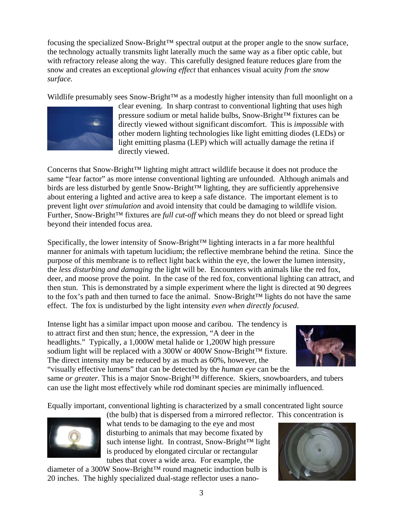focusing the specialized Snow-Bright™ spectral output at the proper angle to the snow surface, the technology actually transmits light laterally much the same way as a fiber optic cable, but with refractory release along the way. This carefully designed feature reduces glare from the snow and creates an exceptional *glowing effect* that enhances visual acuity *from the snow surface.*

Wildlife presumably sees Snow-Bright™ as a modestly higher intensity than full moonlight on a



clear evening. In sharp contrast to conventional lighting that uses high pressure sodium or metal halide bulbs, Snow-Bright™ fixtures can be directly viewed without significant discomfort. This is *impossible* with other modern lighting technologies like light emitting diodes (LEDs) or light emitting plasma (LEP) which will actually damage the retina if directly viewed.

Concerns that Snow-Bright™ lighting might attract wildlife because it does not produce the same "fear factor" as more intense conventional lighting are unfounded. Although animals and birds are less disturbed by gentle Snow-Bright™ lighting, they are sufficiently apprehensive about entering a lighted and active area to keep a safe distance. The important element is to prevent light *over stimulation* and avoid intensity that could be damaging to wildlife vision. Further, Snow-Bright™ fixtures are *full cut-off* which means they do not bleed or spread light beyond their intended focus area.

Specifically, the lower intensity of Snow-Bright™ lighting interacts in a far more healthful manner for animals with tapetum lucidium; the reflective membrane behind the retina. Since the purpose of this membrane is to reflect light back within the eye, the lower the lumen intensity, the *less disturbing and damaging* the light will be. Encounters with animals like the red fox, deer, and moose prove the point. In the case of the red fox, conventional lighting can attract, and then stun. This is demonstrated by a simple experiment where the light is directed at 90 degrees to the fox's path and then turned to face the animal. Snow-Bright™ lights do not have the same effect. The fox is undisturbed by the light intensity *even when directly focused*.

Intense light has a similar impact upon moose and caribou. The tendency is to attract first and then stun; hence, the expression, "A deer in the headlights." Typically, a 1,000W metal halide or 1,200W high pressure sodium light will be replaced with a 300W or 400W Snow-Bright™ fixture. The direct intensity may be reduced by as much as 60%, however, the "visually effective lumens" that can be detected by the *human eye* can be the



same *or greater*. This is a major Snow-Bright<sup>™</sup> difference. Skiers, snowboarders, and tubers can use the light most effectively while rod dominant species are minimally influenced.

Equally important, conventional lighting is characterized by a small concentrated light source



(the bulb) that is dispersed from a mirrored reflector. This concentration is what tends to be damaging to the eye and most disturbing to animals that may become fixated by such intense light. In contrast, Snow-Bright™ light is produced by elongated circular or rectangular tubes that cover a wide area. For example, the

diameter of a 300W Snow-Bright™ round magnetic induction bulb is 20 inches. The highly specialized dual-stage reflector uses a nano-